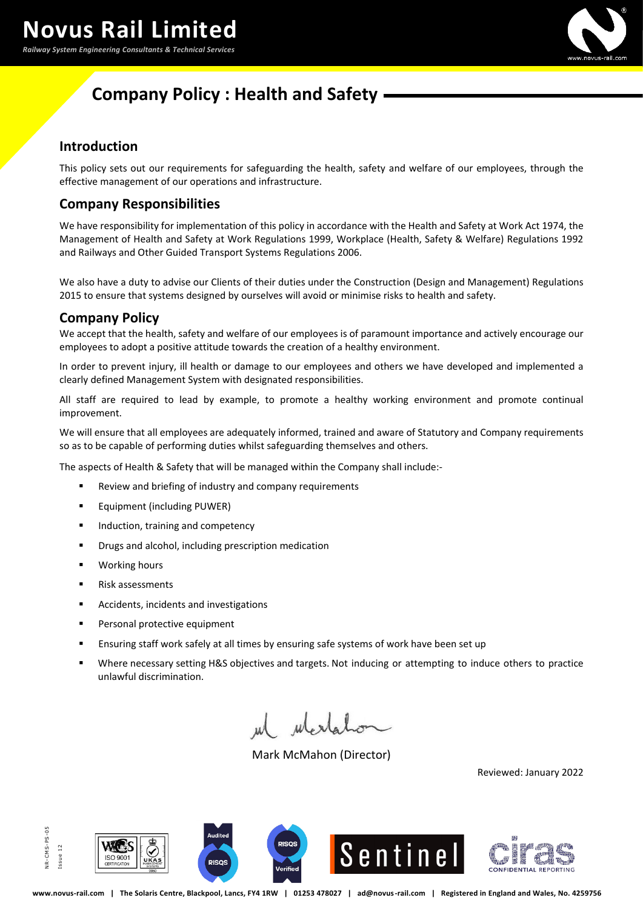*Railway System Engineering Consultants & Technical Services*



# **Company Policy : Health and Safety**

#### **Introduction**

This policy sets out our requirements for safeguarding the health, safety and welfare of our employees, through the effective management of our operations and infrastructure.

## **Company Responsibilities**

We have responsibility for implementation of this policy in accordance with the Health and Safety at Work Act 1974, the Management of Health and Safety at Work Regulations 1999, Workplace (Health, Safety & Welfare) Regulations 1992 and Railways and Other Guided Transport Systems Regulations 2006.

We also have a duty to advise our Clients of their duties under the Construction (Design and Management) Regulations 2015 to ensure that systems designed by ourselves will avoid or minimise risks to health and safety.

#### **Company Policy**

We accept that the health, safety and welfare of our employees is of paramount importance and actively encourage our employees to adopt a positive attitude towards the creation of a healthy environment.

In order to prevent injury, ill health or damage to our employees and others we have developed and implemented a clearly defined Management System with designated responsibilities.

All staff are required to lead by example, to promote a healthy working environment and promote continual improvement.

We will ensure that all employees are adequately informed, trained and aware of Statutory and Company requirements so as to be capable of performing duties whilst safeguarding themselves and others.

The aspects of Health & Safety that will be managed within the Company shall include:-

- Review and briefing of industry and company requirements
- Equipment (including PUWER)
- Induction, training and competency
- Drugs and alcohol, including prescription medication
- Working hours
- Risk assessments
- Accidents, incidents and investigations
- Personal protective equipment
- **E** Ensuring staff work safely at all times by ensuring safe systems of work have been set up
- Where necessary setting H&S objectives and targets. Not inducing or attempting to induce others to practice unlawful discrimination.

wertahon

Mark McMahon (Director)

Reviewed: January 2022









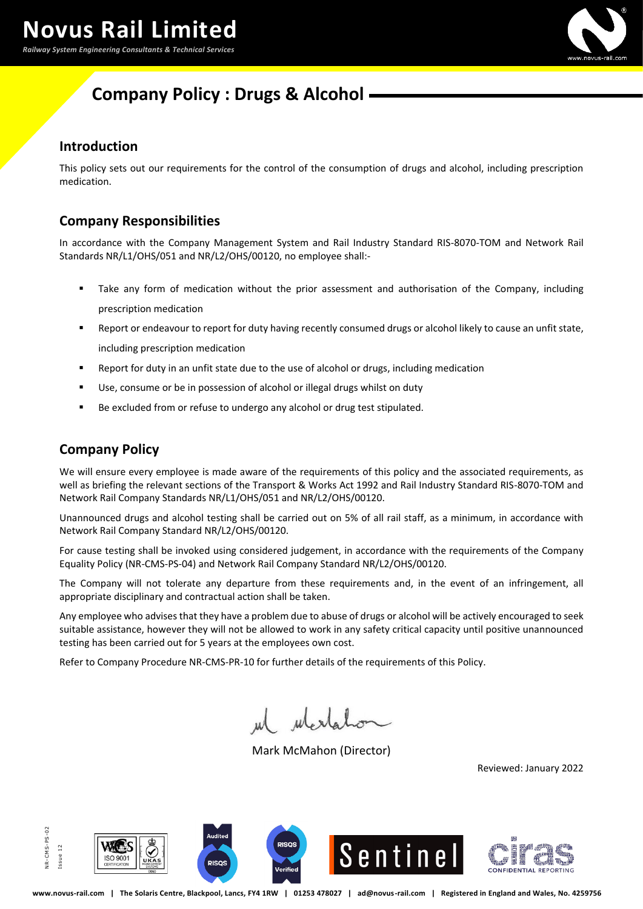*Railway System Engineering Consultants & Technical Services*



# **Company Policy : Drugs & Alcohol**

### **Introduction**

This policy sets out our requirements for the control of the consumption of drugs and alcohol, including prescription medication.

## **Company Responsibilities**

In accordance with the Company Management System and Rail Industry Standard RIS-8070-TOM and Network Rail Standards NR/L1/OHS/051 and NR/L2/OHS/00120, no employee shall:-

- Take any form of medication without the prior assessment and authorisation of the Company, including prescription medication
- Report or endeavour to report for duty having recently consumed drugs or alcohol likely to cause an unfit state, including prescription medication
- Report for duty in an unfit state due to the use of alcohol or drugs, including medication
- Use, consume or be in possession of alcohol or illegal drugs whilst on duty
- Be excluded from or refuse to undergo any alcohol or drug test stipulated.

## **Company Policy**

We will ensure every employee is made aware of the requirements of this policy and the associated requirements, as well as briefing the relevant sections of the Transport & Works Act 1992 and Rail Industry Standard RIS-8070-TOM and Network Rail Company Standards NR/L1/OHS/051 and NR/L2/OHS/00120.

Unannounced drugs and alcohol testing shall be carried out on 5% of all rail staff, as a minimum, in accordance with Network Rail Company Standard NR/L2/OHS/00120.

For cause testing shall be invoked using considered judgement, in accordance with the requirements of the Company Equality Policy (NR-CMS-PS-04) and Network Rail Company Standard NR/L2/OHS/00120.

The Company will not tolerate any departure from these requirements and, in the event of an infringement, all appropriate disciplinary and contractual action shall be taken.

Any employee who advises that they have a problem due to abuse of drugs or alcohol will be actively encouraged to seek suitable assistance, however they will not be allowed to work in any safety critical capacity until positive unannounced testing has been carried out for 5 years at the employees own cost.

Refer to Company Procedure NR-CMS-PR-10 for further details of the requirements of this Policy.

ulerlal

Mark McMahon (Director)

Reviewed: January 2022